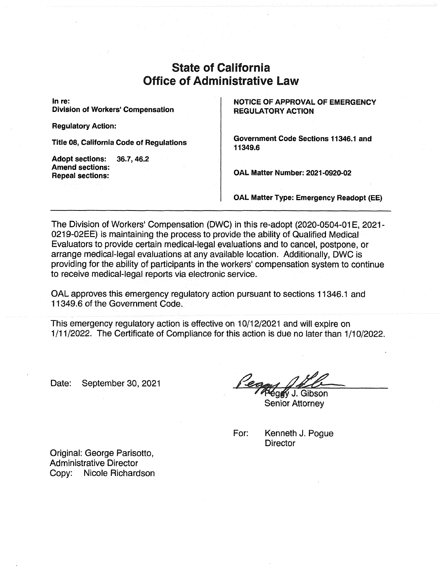# State of California Office of Administrative Law

**In re: Division of Workers' Compensation** 

**Regulatory Action:** 

**Title 08, California Code of Regulations** 

**Adopt sections: 36.7,46.2 Amend sections: Repeal sections:** 

**NOTICE OF APPROVAL OF EMERGENCY REGULATORY ACTION** 

**Government Code Sections 11346.1 and 11349.6** 

**OAL Matter Number: 2021-0920-02** 

**OAL Matter Type: Emergency Readopt (EE)** 

The Division of Workers' Compensation (DWC) in this re-adopt (2020-0504-01E, 2021 - 0219-02EE) is maintaining the process to provide the ability of Qualified Medical Evaluators to provide certain medical-legal evaluations and to cancel, postpone, or arrange medical-legal evaluations at any available location. Additionally, DWC is providing for the ability of participants in the workers' compensation system to continue to receive medical-legal reports via electronic service.

OAL approves this emergency regulatory action pursuant to sections 11346.1 and 11349.6 of the Government Code.

This emergency regulatory action is effective on 10/12/2021 and will expire on 1/11/2022. The Certificate of Compliance for this action is due no later than 1/10/2022.

Date: September 30, 2021

éggy J. Gibson

**Senior Attorney** 

For: Kenneth J. Pogue **Director** 

Original: George Parisotto, Administrative Director Copy: Nicole Richardson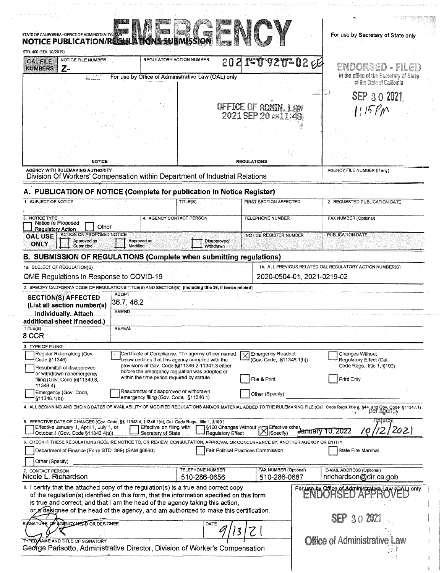| STD, 400 (REV, 10/2019)<br>NOTICE FILE NUMBER                                                                                                                                                                                                                                                                                              | REGULATORY ACTION NUMBER                                                                                  |                         | STATE OF CALIFORNIA –OFFICE OF ADMINISTRATIVE <b>NATIONAL STATE AND RESIDENT AT A RESIDENT AND RESIDENT AND RESIDENT</b> |                  |                                                                                                                                                                                |
|--------------------------------------------------------------------------------------------------------------------------------------------------------------------------------------------------------------------------------------------------------------------------------------------------------------------------------------------|-----------------------------------------------------------------------------------------------------------|-------------------------|--------------------------------------------------------------------------------------------------------------------------|------------------|--------------------------------------------------------------------------------------------------------------------------------------------------------------------------------|
| <b>OAL FILE</b><br>$Z-$<br><b>NUMBERS</b>                                                                                                                                                                                                                                                                                                  |                                                                                                           |                         | 202 INERGIO 2 YOF 02 EEF                                                                                                 |                  | ENNAS PIEL                                                                                                                                                                     |
|                                                                                                                                                                                                                                                                                                                                            | For use by Office of Administrative Law (OAL) only                                                        |                         |                                                                                                                          |                  | in the office of the Secretary of State<br>of the State of California                                                                                                          |
|                                                                                                                                                                                                                                                                                                                                            |                                                                                                           |                         |                                                                                                                          | come.            |                                                                                                                                                                                |
|                                                                                                                                                                                                                                                                                                                                            |                                                                                                           |                         |                                                                                                                          |                  | SEP 30 2021                                                                                                                                                                    |
|                                                                                                                                                                                                                                                                                                                                            |                                                                                                           |                         | OFFICE OF ADMIN, LAW<br>2021 SEP 20 AW11:48                                                                              |                  | 1:15 PM                                                                                                                                                                        |
|                                                                                                                                                                                                                                                                                                                                            |                                                                                                           |                         |                                                                                                                          |                  |                                                                                                                                                                                |
|                                                                                                                                                                                                                                                                                                                                            |                                                                                                           |                         |                                                                                                                          |                  |                                                                                                                                                                                |
|                                                                                                                                                                                                                                                                                                                                            |                                                                                                           |                         |                                                                                                                          |                  |                                                                                                                                                                                |
| <b>NOTICE</b>                                                                                                                                                                                                                                                                                                                              |                                                                                                           |                         | <b>REGULATIONS</b>                                                                                                       |                  |                                                                                                                                                                                |
| <b>AGENCY WITH RULEMAKING AUTHORITY</b>                                                                                                                                                                                                                                                                                                    |                                                                                                           |                         |                                                                                                                          |                  | AGENCY FILE NUMBER (If any)                                                                                                                                                    |
| Division Of Workers' Compensation within Department of Industrial Relations                                                                                                                                                                                                                                                                |                                                                                                           |                         |                                                                                                                          |                  |                                                                                                                                                                                |
| A. PUBLICATION OF NOTICE (Complete for publication in Notice Register)                                                                                                                                                                                                                                                                     |                                                                                                           |                         |                                                                                                                          |                  |                                                                                                                                                                                |
| 1. SUBJECT OF NOTICE                                                                                                                                                                                                                                                                                                                       |                                                                                                           | TITLE(S)                | FIRST SECTION AFFECTED                                                                                                   |                  | 2. REQUESTED PUBLICATION DATE                                                                                                                                                  |
| NOTICE TYPE                                                                                                                                                                                                                                                                                                                                | 4. AGENCY CONTACT PERSON                                                                                  |                         | TELEPHONE NUMBER                                                                                                         |                  | FAX NUMBER (Optional)                                                                                                                                                          |
| Notice re Proposed<br>Other<br><b>Regulatory Action</b>                                                                                                                                                                                                                                                                                    |                                                                                                           |                         |                                                                                                                          |                  |                                                                                                                                                                                |
| <b>ACTION ON PROPOSED NOTICE</b><br><b>OAL USE</b><br>Approved as                                                                                                                                                                                                                                                                          | Approved as                                                                                               | Disapproved/            | <b>NOTICE REGISTER NUMBER</b>                                                                                            |                  | <b>PUBLICATION DATE</b>                                                                                                                                                        |
| <b>ONLY</b><br>Submitted                                                                                                                                                                                                                                                                                                                   | Modified                                                                                                  | Withdrawn               |                                                                                                                          |                  |                                                                                                                                                                                |
| <b>B. SUBMISSION OF REGULATIONS (Complete when submitting regulations)</b>                                                                                                                                                                                                                                                                 |                                                                                                           |                         |                                                                                                                          |                  |                                                                                                                                                                                |
| 1a. SUBJECT OF REGULATION(S)                                                                                                                                                                                                                                                                                                               |                                                                                                           |                         |                                                                                                                          |                  | 1b. ALL PREVIOUS RELATED OAL REGULATORY ACTION NUMBER(S)                                                                                                                       |
| QME Regulations in Response to COVID-19                                                                                                                                                                                                                                                                                                    |                                                                                                           |                         | 2020-0504-01, 2021-0219-02                                                                                               |                  |                                                                                                                                                                                |
| 2. SPECIFY CALIFORNIA CODE OF REGULATIONS TITLE(S) AND SECTION(S) (Including title 26, if toxics related)                                                                                                                                                                                                                                  | <b>ADOPT</b>                                                                                              |                         |                                                                                                                          |                  |                                                                                                                                                                                |
| <b>SECTION(S) AFFECTED</b><br>(List all section number(s)                                                                                                                                                                                                                                                                                  | 36.7, 46.2                                                                                                |                         |                                                                                                                          |                  |                                                                                                                                                                                |
| <b>Individually. Attach</b>                                                                                                                                                                                                                                                                                                                | AMEND                                                                                                     |                         |                                                                                                                          |                  |                                                                                                                                                                                |
| additional sheet if needed.)<br>TITLE(S)                                                                                                                                                                                                                                                                                                   | <b>REPEAL</b>                                                                                             |                         |                                                                                                                          |                  |                                                                                                                                                                                |
| 8 CCR                                                                                                                                                                                                                                                                                                                                      |                                                                                                           |                         |                                                                                                                          |                  |                                                                                                                                                                                |
| 3. TYPE OF FILING                                                                                                                                                                                                                                                                                                                          |                                                                                                           |                         |                                                                                                                          |                  |                                                                                                                                                                                |
| Regular Rulemaking (Gov.<br>Code §11346)                                                                                                                                                                                                                                                                                                   | Certificate of Compliance: The agency officer named<br>below certifies that this agency complied with the |                         | X Emergency Readopt<br>(Gov. Code, §11346.1(h))                                                                          |                  | Changes Without<br>Regulatory Effect (Cal.                                                                                                                                     |
| Resubmittal of disapproved<br>or withdrawn nonemergency                                                                                                                                                                                                                                                                                    | provisions of Gov. Code §§11346.2-11347.3 either<br>before the emergency regulation was adopted or        |                         |                                                                                                                          |                  | Code Regs., title 1, §100)                                                                                                                                                     |
| filing (Gov. Code §§11349.3,<br>11349.4)                                                                                                                                                                                                                                                                                                   | within the time period required by statute.                                                               |                         | File & Print                                                                                                             |                  | Print Only                                                                                                                                                                     |
| Emergency (Gov. Code.                                                                                                                                                                                                                                                                                                                      | Resubmittal of disapproved or withdrawn                                                                   |                         | Other (Specify)                                                                                                          |                  |                                                                                                                                                                                |
| §11346.1(b))                                                                                                                                                                                                                                                                                                                               | emergency filing (Gov. Code, §11346.1)                                                                    |                         |                                                                                                                          |                  |                                                                                                                                                                                |
|                                                                                                                                                                                                                                                                                                                                            |                                                                                                           |                         |                                                                                                                          |                  | 4. ALL BEGINNING AND ENDING DATES OF AVAILABILITY OF MODIFIED REGULATIONS AND/OR MATERIAL ADDED TO THE RULEMAKING FILE (Cal. Code Regs. title {, \$44 and Gov. Code \$11347.1) |
| 5. EFFECTIVE DATE OF CHANGES (Gov. Code, §§ 11343.4, 11346.1(d); Cal. Code Regs., title 1, §100)<br>Effective January 1, April 1, July 1, or                                                                                                                                                                                               | Effective on filing with                                                                                  |                         |                                                                                                                          |                  |                                                                                                                                                                                |
|                                                                                                                                                                                                                                                                                                                                            | Secretary of State                                                                                        | Regulatory Effect       | 19100 Changes Without K Effective other<br>Regulatory Effect K (Specify)                                                 | January 10, 2022 | 12/2021<br>10                                                                                                                                                                  |
| October 1 (Gov. Code §11343.4(a))                                                                                                                                                                                                                                                                                                          |                                                                                                           |                         | Fair Political Practices Commission                                                                                      |                  | State Fire Marshal                                                                                                                                                             |
|                                                                                                                                                                                                                                                                                                                                            |                                                                                                           |                         |                                                                                                                          |                  |                                                                                                                                                                                |
| Department of Finance (Form STD. 399) (SAM §6660)                                                                                                                                                                                                                                                                                          |                                                                                                           |                         | FAX NUMBER (Optional)                                                                                                    |                  | E-MAIL ADDRESS (Optional)                                                                                                                                                      |
| Other (Specify)                                                                                                                                                                                                                                                                                                                            |                                                                                                           | <b>TELEPHONE NUMBER</b> | 510-286-0687                                                                                                             |                  | nrichardson@dir.ca.gob                                                                                                                                                         |
| <b>CONTACT PERSON</b>                                                                                                                                                                                                                                                                                                                      |                                                                                                           | 510-286-0656            |                                                                                                                          |                  |                                                                                                                                                                                |
|                                                                                                                                                                                                                                                                                                                                            |                                                                                                           |                         |                                                                                                                          |                  |                                                                                                                                                                                |
| 6. CHECK IF THESE REGULATIONS REQUIRE NOTICE TO, OR REVIEW, CONSULTATION, APPROVAL OR CONCURRENCE BY, ANOTHER AGENCY OR ENTITY<br>Nicole L. Richardson<br>8. I certify that the attached copy of the regulation(s) is a true and correct copy<br>of the regulation(s) identified on this form, that the information specified on this form |                                                                                                           |                         |                                                                                                                          |                  | For use by Office of Administrative Law (OAL) only                                                                                                                             |
| is true and correct, and that I am the head of the agency taking this action,<br>or a designee of the head of the agency, and am authorized to make this certification.                                                                                                                                                                    |                                                                                                           |                         |                                                                                                                          |                  |                                                                                                                                                                                |
| SIGNATURE OF AGENCY HEAD OR DESIGNEE                                                                                                                                                                                                                                                                                                       |                                                                                                           |                         |                                                                                                                          |                  | SEP 30 2021                                                                                                                                                                    |
|                                                                                                                                                                                                                                                                                                                                            |                                                                                                           | DATE                    |                                                                                                                          |                  |                                                                                                                                                                                |
| TYPED NAME AND TITLE OF SIGNATORY                                                                                                                                                                                                                                                                                                          |                                                                                                           |                         |                                                                                                                          |                  | <b>Office of Administrative Law</b>                                                                                                                                            |
| George Parisotto, Administrative Director, Division of Worker's Compensation                                                                                                                                                                                                                                                               |                                                                                                           |                         |                                                                                                                          |                  |                                                                                                                                                                                |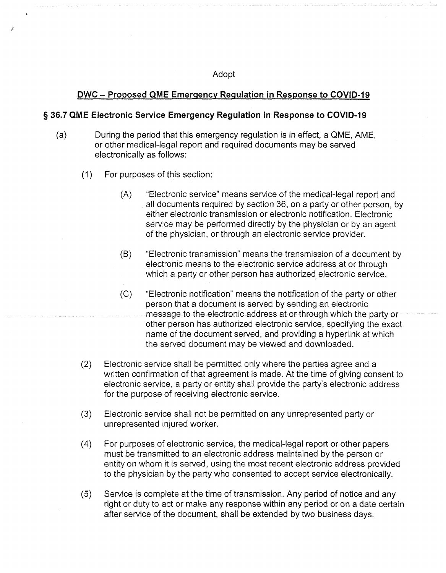#### Adopt

### **DWC - Proposed QME Emergency Regulation in Response to COVID-19**

#### **§ 36.7 QME Electronic Service Emergency Regulation in Response to COVID-19**

- (a) During the period that this emergency regulation is in effect, a QME, AME, or other medical-legal report and required documents may be served electronically as follows:
	- (1) For purposes of this section:
		- (A) "Electronic service" means service of the medical-legal report and all documents required by section 36, on a party or other person, by either electronic transmission or electronic notification. Electronic service may be performed directly by the physician or by an agent of the physician, or through an electronic service provider.
		- (B) "Electronic transmission" means the transmission of a document by electronic means to the electronic service address at or through which a party or other person has authorized electronic service.
		- (C) "Electronic notification" means the notification of the party or other person that a document is served by sending an electronic message to the electronic address at or through which the party or other person has authorized electronic service, specifying the exact name of the document served, and providing a hyperlink at which the served document may be viewed and downloaded.
	- (2) Electronic service shall be permitted only where the parties agree and a written confirmation of that agreement is made. At the time of giving consent to electronic service, a party or entity shall provide the party's electronic address for the purpose of receiving electronic service.
	- (3) Electronic service shall not be permitted on any unrepresented party or unrepresented injured worker.
	- (4) For purposes of electronic service, the medical-legal report or other papers must be transmitted to an electronic address maintained by the person or entity on whom it is served, using the most recent electronic address provided to the physician by the party who consented to accept service electronically.
	- (5) Service is complete at the time of transmission. Any period of notice and any right or duty to act or make any response within any period or on a date certain after service of the document, shall be extended by two business days.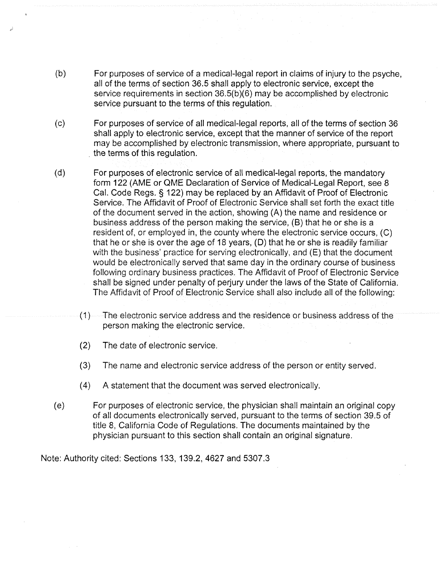- (b) For purposes of service of a medical-legal report in claims of injury to the psyche, all of the terms of section 36.5 shall apply to electronic service, except the service requirements in section 36.5(b)(6) may be accomplished by electronic service pursuant to the terms of this regulation.
- (c) For purposes of service of all medical-legal reports, all of the terms of section 36 shall apply to electronic service, except that the manner of service of the report may be accomplished by electronic transmission, where appropriate, pursuant to the terms of this regulation.
- (d) For purposes of electronic service of all medical-legal reports, the mandatory form 122 (AME or QME Declaration of Service of Medical-Legal Report, see 8 Cal. Code Regs. § 122) may be replaced by an Affidavit of Proof of Electronic Service. The Affidavit of Proof of Electronic Service shall set forth the exact title of the document served in the action, showing (A) the name and residence or business address of the person making the service, (B) that he or she is a resident of, or employed in, the county where the electronic service occurs, (C) that he or she is over the age of 18 years, (D) that he or she is readily familiar with the business' practice for serving electronically, and (E) that the document would be electronically served that same day in the ordinary course of business following ordinary business practices. The Affidavit of Proof of Electronic Service shall be signed under penalty of perjury under the laws of the State of California. The Affidavit of Proof of Electronic Service shall also include all of the following:
	- (1) The electronic service address and the residence or business address of the person making the electronic service.
	- (2) The date of electronic service.
	- (3) The name and electronic service address of the person or entity served.
	- (4) A statement that the document was served electronically.
- (e) For purposes of electronic service, the physician shall maintain an original copy of all documents electronically served, pursuant to the terms of section 39.5 of title 8, California Code of Regulations. The documents maintained by the physician pursuant to this section shall contain an original signature.

Note: Authority cited: Sections 133, 139.2, 4627 and 5307.3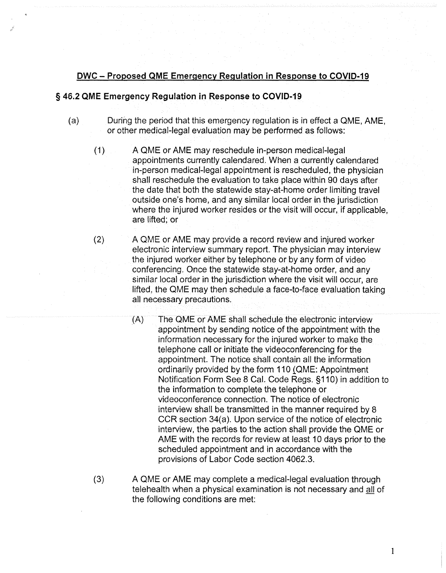## **DWC - Proposed QME Emergency Regulation in Response to COVID-19**

#### **§ 46.2 QME Emergency Regulation in Response to COVID-19**

- (a) During the period that this emergency regulation is in effect a QME, AME, or other medical-legal evaluation may be performed as follows:
	- (1) A QME or AME may reschedule in-person medical-legal appointments currently calendared. When a currently calendared in-person medical-legal appointment is rescheduled, the physician shall reschedule the evaluation to take place within 90 days after the date that both the statewide stay-at-home order limiting travel outside one's home, and any similar local order in the jurisdiction where the injured worker resides or the visit will occur, if applicable, are lifted; or
	- (2) A QME or AME may provide a record review and injured worker electronic interview summary report. The physician may interview the injured worker either by telephone or by any form of video conferencing. Once the statewide stay-at-home order, and any similar local order in the jurisdiction where the visit will occur, are lifted, the QME may then schedule a face-to-face evaluation taking all necessary precautions.
		- (A) The QME or AME shall schedule the electronic interview appointment by sending notice of the appointment with the information necessary for the injured worker to make the telephone call or initiate the videoconferencing for the appointment. The notice shall contain all the information ordinarily provided by the form 110 (QME: Appointment Notification Form See 8 Cal. Code Regs. §110) in addition to the information to complete the telephone or videoconference connection. The notice of electronic interview shall be transmitted in the manner required by 8 CCR section 34(a). Upon service of the notice of electronic interview, the parties to the action shall provide the QME or AME with the records for review at least 10 days prior to the scheduled appointment and in accordance with the provisions of Labor Code section 4062.3.
	- (3) A QME or AME may complete a medical-legal evaluation through telehealth when a physical examination is not necessary and all of the following conditions are met:

1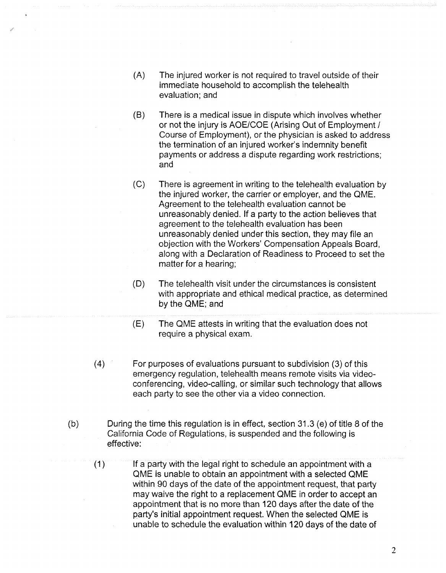- (A) The injured worker is not required to travel outside of their immediate household to accomplish the telehealth evaluation; and
- (B) There is a medical issue in dispute which involves whether or not the injury is AOE/COE (Arising Out of Employment / Course of Employment), or the physician is asked to address the termination of an injured worker's indemnity benefit payments or address a dispute regarding work restrictions; and
- (C) There is agreement in writing to the telehealth evaluation by the injured worker, the carrier or employer, and the QME. Agreement to the telehealth evaluation cannot be unreasonably denied. If a party to the action believes that agreement to the telehealth evaluation has been unreasonably denied under this section, they may file an objection with the Workers' Compensation Appeals Board, along with a Declaration of Readiness to Proceed to set the matter for a hearing;
- (D) The telehealth visit under the circumstances is consistent with appropriate and ethical medical practice, as determined by the QME; and
- (E) The QME attests in writing that the evaluation does not require a physical exam.
- (4) For purposes of evaluations pursuant to subdivision (3) of this emergency regulation, telehealth means remote visits via videoconferencing, video-calling, or similar such technology that allows each party to see the other via a video connection.
- (b) During the time this regulation is in effect, section 31.3 (e) of title 8 of the California Code of Regulations, is suspended and the following is effective:
	- (1) If a party with the legal right to schedule an appointment with a QME is unable to obtain an appointment with a selected QME within 90 days of the date of the appointment request, that party may waive the right to a replacement QME in order to accept an appointment that is no more than 120 days after the date of the party's initial appointment request. When the selected QME is unable to schedule the evaluation within 120 days of the date of

2